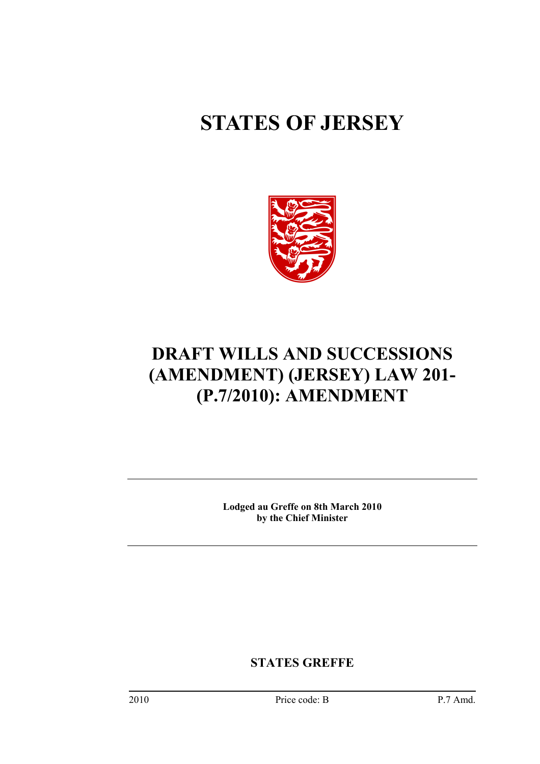# **STATES OF JERSEY**



# **DRAFT WILLS AND SUCCESSIONS (AMENDMENT) (JERSEY) LAW 201- (P.7/2010): AMENDMENT**

**Lodged au Greffe on 8th March 2010 by the Chief Minister** 

**STATES GREFFE**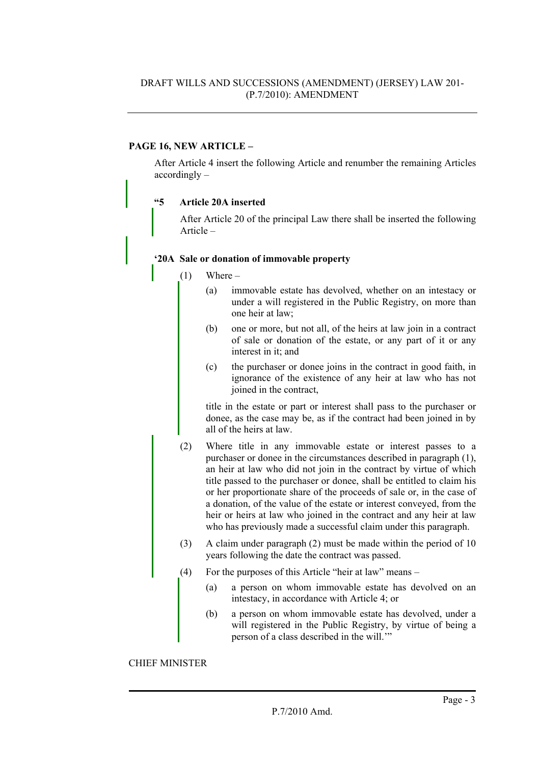# **PAGE 16, NEW ARTICLE –**

After Article 4 insert the following Article and renumber the remaining Articles accordingly –

### **"5 Article 20A inserted**

After Article 20 of the principal Law there shall be inserted the following Article –

#### **'20A Sale or donation of immovable property**

- $(1)$  Where
	- (a) immovable estate has devolved, whether on an intestacy or under a will registered in the Public Registry, on more than one heir at law;
	- (b) one or more, but not all, of the heirs at law join in a contract of sale or donation of the estate, or any part of it or any interest in it; and
	- (c) the purchaser or donee joins in the contract in good faith, in ignorance of the existence of any heir at law who has not joined in the contract,

title in the estate or part or interest shall pass to the purchaser or donee, as the case may be, as if the contract had been joined in by all of the heirs at law.

- (2) Where title in any immovable estate or interest passes to a purchaser or donee in the circumstances described in paragraph (1), an heir at law who did not join in the contract by virtue of which title passed to the purchaser or donee, shall be entitled to claim his or her proportionate share of the proceeds of sale or, in the case of a donation, of the value of the estate or interest conveyed, from the heir or heirs at law who joined in the contract and any heir at law who has previously made a successful claim under this paragraph.
- (3) A claim under paragraph (2) must be made within the period of 10 years following the date the contract was passed.
- (4) For the purposes of this Article "heir at law" means
	- (a) a person on whom immovable estate has devolved on an intestacy, in accordance with Article 4; or
	- (b) a person on whom immovable estate has devolved, under a will registered in the Public Registry, by virtue of being a person of a class described in the will.'"

#### CHIEF MINISTER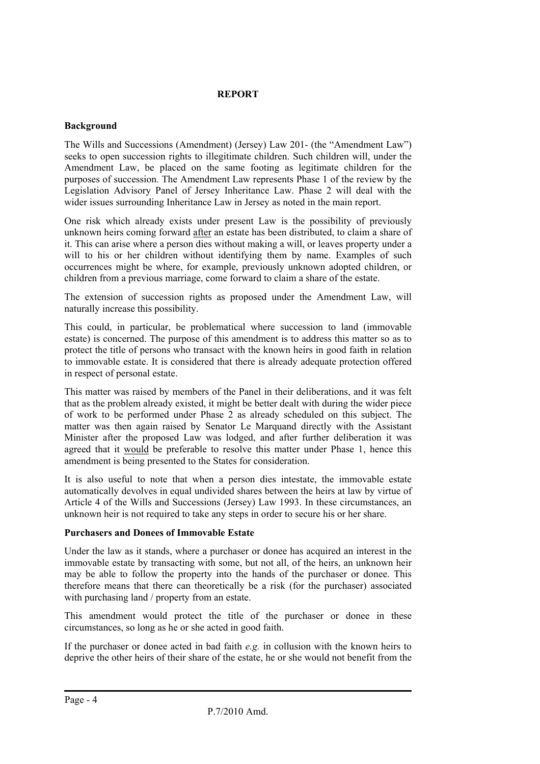# **REPORT**

# **Background**

The Wills and Successions (Amendment) (Jersey) Law 201- (the "Amendment Law") seeks to open succession rights to illegitimate children. Such children will, under the Amendment Law, be placed on the same footing as legitimate children for the purposes of succession. The Amendment Law represents Phase 1 of the review by the Legislation Advisory Panel of Jersey Inheritance Law. Phase 2 will deal with the wider issues surrounding Inheritance Law in Jersey as noted in the main report.

One risk which already exists under present Law is the possibility of previously unknown heirs coming forward after an estate has been distributed, to claim a share of it. This can arise where a person dies without making a will, or leaves property under a will to his or her children without identifying them by name. Examples of such occurrences might be where, for example, previously unknown adopted children, or children from a previous marriage, come forward to claim a share of the estate.

The extension of succession rights as proposed under the Amendment Law, will naturally increase this possibility.

This could, in particular, be problematical where succession to land (immovable estate) is concerned. The purpose of this amendment is to address this matter so as to protect the title of persons who transact with the known heirs in good faith in relation to immovable estate. It is considered that there is already adequate protection offered in respect of personal estate.

This matter was raised by members of the Panel in their deliberations, and it was felt that as the problem already existed, it might be better dealt with during the wider piece of work to be performed under Phase 2 as already scheduled on this subject. The matter was then again raised by Senator Le Marquand directly with the Assistant Minister after the proposed Law was lodged, and after further deliberation it was agreed that it would be preferable to resolve this matter under Phase 1, hence this amendment is being presented to the States for consideration.

It is also useful to note that when a person dies intestate, the immovable estate automatically devolves in equal undivided shares between the heirs at law by virtue of Article 4 of the Wills and Successions (Jersey) Law 1993. In these circumstances, an unknown heir is not required to take any steps in order to secure his or her share.

# **Purchasers and Donees of Immovable Estate**

Under the law as it stands, where a purchaser or donee has acquired an interest in the immovable estate by transacting with some, but not all, of the heirs, an unknown heir may be able to follow the property into the hands of the purchaser or donee. This therefore means that there can theoretically be a risk (for the purchaser) associated with purchasing land / property from an estate.

This amendment would protect the title of the purchaser or donee in these circumstances, so long as he or she acted in good faith.

If the purchaser or donee acted in bad faith *e.g.* in collusion with the known heirs to deprive the other heirs of their share of the estate, he or she would not benefit from the